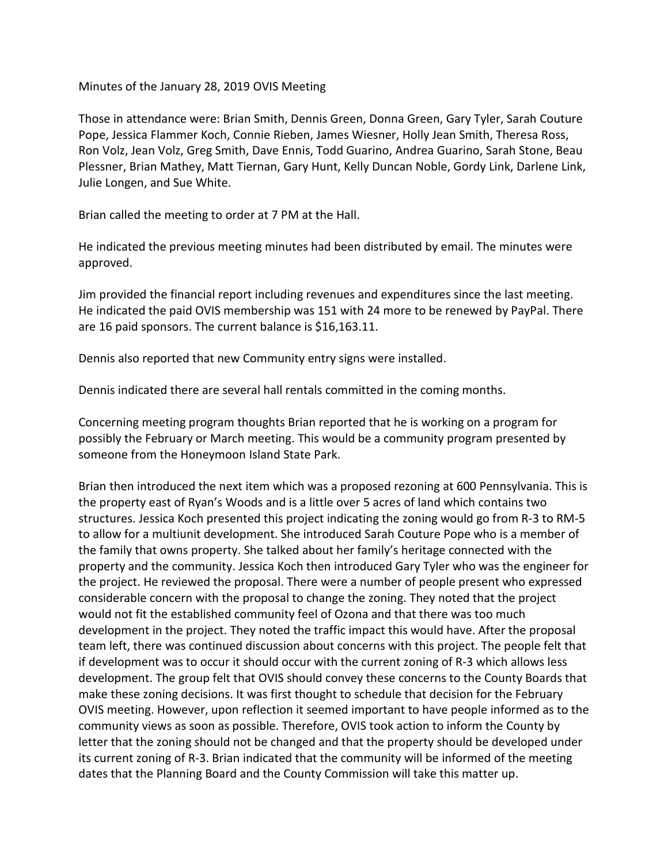Minutes of the January 28, 2019 OVIS Meeting

Those in attendance were: Brian Smith, Dennis Green, Donna Green, Gary Tyler, Sarah Couture Pope, Jessica Flammer Koch, Connie Rieben, James Wiesner, Holly Jean Smith, Theresa Ross, Ron Volz, Jean Volz, Greg Smith, Dave Ennis, Todd Guarino, Andrea Guarino, Sarah Stone, Beau Plessner, Brian Mathey, Matt Tiernan, Gary Hunt, Kelly Duncan Noble, Gordy Link, Darlene Link, Julie Longen, and Sue White.

Brian called the meeting to order at 7 PM at the Hall.

He indicated the previous meeting minutes had been distributed by email. The minutes were approved.

Jim provided the financial report including revenues and expenditures since the last meeting. He indicated the paid OVIS membership was 151 with 24 more to be renewed by PayPal. There are 16 paid sponsors. The current balance is \$16,163.11.

Dennis also reported that new Community entry signs were installed.

Dennis indicated there are several hall rentals committed in the coming months.

Concerning meeting program thoughts Brian reported that he is working on a program for possibly the February or March meeting. This would be a community program presented by someone from the Honeymoon Island State Park.

Brian then introduced the next item which was a proposed rezoning at 600 Pennsylvania. This is the property east of Ryan's Woods and is a little over 5 acres of land which contains two structures. Jessica Koch presented this project indicating the zoning would go from R-3 to RM-5 to allow for a multiunit development. She introduced Sarah Couture Pope who is a member of the family that owns property. She talked about her family's heritage connected with the property and the community. Jessica Koch then introduced Gary Tyler who was the engineer for the project. He reviewed the proposal. There were a number of people present who expressed considerable concern with the proposal to change the zoning. They noted that the project would not fit the established community feel of Ozona and that there was too much development in the project. They noted the traffic impact this would have. After the proposal team left, there was continued discussion about concerns with this project. The people felt that if development was to occur it should occur with the current zoning of R-3 which allows less development. The group felt that OVIS should convey these concerns to the County Boards that make these zoning decisions. It was first thought to schedule that decision for the February OVIS meeting. However, upon reflection it seemed important to have people informed as to the community views as soon as possible. Therefore, OVIS took action to inform the County by letter that the zoning should not be changed and that the property should be developed under its current zoning of R-3. Brian indicated that the community will be informed of the meeting dates that the Planning Board and the County Commission will take this matter up.